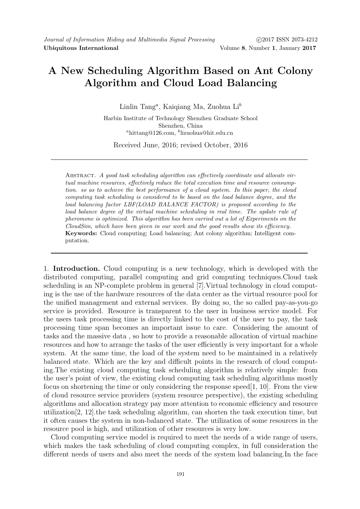# A New Scheduling Algorithm Based on Ant Colony Algorithm and Cloud Load Balancing

Linlin Tang<sup>a</sup>, Kaiqiang Ma, Zuohua Li<sup>b</sup>

Harbin Institute of Technology Shenzhen Graduate School Shenzhen, China  ${}^a$ hittang@126.com,  ${}^b$ lizuohua@hit.edu.cn

Received June, 2016; revised October, 2016

Abstract. A good task scheduling algorithm can effectively coordinate and allocate virtual machine resources, effectively reduce the total execution time and resource consumption. so as to achieve the best performance of a cloud system. In this paper, the cloud computing task scheduling is considered to be based on the load balance degree, and the load balancing factor LBF(LOAD BALANCE FACTOR) is proposed according to the load balance degree of the virtual machine scheduling in real time. The update rule of pheromone is optimized. This algorithm has been carried out a lot of Experiments on the CloudSim, which have been given in our work and the good results show its efficiency. Keywords: Cloud computing; Load balancing; Ant colony algorithm; Intelligent computation.

1. Introduction. Cloud computing is a new technology, which is developed with the distributed computing, parallel computing and grid computing techniques.Cloud task scheduling is an NP-complete problem in general [7].Virtual technology in cloud computing is the use of the hardware resources of the data center as the virtual resource pool for the unified management and external services. By doing so, the so called pay-as-you-go service is provided. Resource is transparent to the user in business service model. For the users task processing time is directly linked to the cost of the user to pay, the task processing time span becomes an important issue to care. Considering the amount of tasks and the massive data , so how to provide a reasonable allocation of virtual machine resources and how to arrange the tasks of the user efficiently is very important for a whole system. At the same time, the load of the system need to be maintained in a relatively balanced state. Which are the key and difficult points in the research of cloud computing.The existing cloud computing task scheduling algorithm is relatively simple: from the user's point of view, the existing cloud computing task scheduling algorithms mostly focus on shortening the time or only considering the response speed[1, 10]. From the view of cloud resource service providers (system resource perspective), the existing scheduling algorithms and allocation strategy pay more attention to economic efficiency and resource utilization[2, 12].the task scheduling algorithm, can shorten the task execution time, but it often causes the system in non-balanced state. The utilization of some resources in the resource pool is high, and utilization of other resources is very low.

Cloud computing service model is required to meet the needs of a wide range of users, which makes the task scheduling of cloud computing complex, in full consideration the different needs of users and also meet the needs of the system load balancing.In the face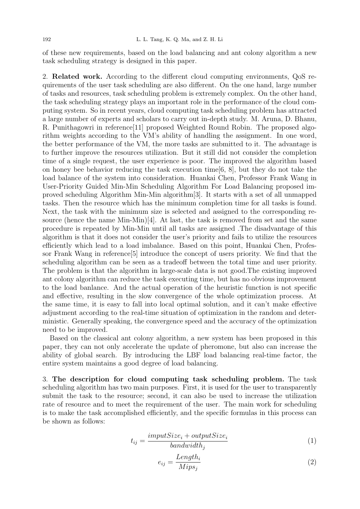of these new requirements, based on the load balancing and ant colony algorithm a new task scheduling strategy is designed in this paper.

2. Related work. According to the different cloud computing environments, QoS requirements of the user task scheduling are also different. On the one hand, large number of tasks and resources, task scheduling problem is extremely complex. On the other hand, the task scheduling strategy plays an important role in the performance of the cloud computing system. So in recent years, cloud computing task scheduling problem has attracted a large number of experts and scholars to carry out in-depth study. M. Aruna, D. Bhanu, R. Punithagowri in reference[11] proposed Weighted Round Robin. The proposed algorithm weights according to the VM's ability of handling the assignment. In one word, the better performance of the VM, the more tasks are submitted to it. The advantage is to further improve the resources utilization. But it still did not consider the completion time of a single request, the user experience is poor. The improved the algorithm based on honey bee behavior reducing the task execution time  $[6, 8]$ , but they do not take the load balance of the system into consideration. Huankai Chen, Professor Frank Wang in User-Priority Guided Min-Min Scheduling Algorithm For Load Balancing proposed improved scheduling Algorithm Min-Min algorithm[3]. It starts with a set of all unmapped tasks. Then the resource which has the minimum completion time for all tasks is found. Next, the task with the minimum size is selected and assigned to the corresponding resource (hence the name  $Min-Min[4]$ . At last, the task is removed from set and the same procedure is repeated by Min-Min until all tasks are assigned .The disadvantage of this algorithm is that it does not consider the user's priority and fails to utilize the resources efficiently which lead to a load imbalance. Based on this point, Huankai Chen, Professor Frank Wang in reference[5] introduce the concept of users priority. We find that the scheduling algorithm can be seen as a tradeoff between the total time and user priority. The problem is that the algorithm in large-scale data is not good.The existing improved ant colony algorithm can reduce the task executing time, but has no obvious improvement to the load banlance. And the actual operation of the heuristic function is not specific and effective, resulting in the slow convergence of the whole optimization process. At the same time, it is easy to fall into local optimal solution, and it can't make effective adjustment according to the real-time situation of optimization in the random and deterministic. Generally speaking, the convergence speed and the accuracy of the optimization need to be improved.

Based on the classical ant colony algorithm, a new system has been proposed in this paper, they can not only accelerate the update of pheromone, but also can increase the ability of global search. By introducing the LBF load balancing real-time factor, the entire system maintains a good degree of load balancing.

3. The description for cloud computing task scheduling problem. The task scheduling algorithm has two main purposes. First, it is used for the user to transparently submit the task to the resource; second, it can also be used to increase the utilization rate of resource and to meet the requirement of the user. The main work for scheduling is to make the task accomplished efficiently, and the specific formulas in this process can be shown as follows:

$$
t_{ij} = \frac{imputSize_i + outputSize_i}{bandwidth_j} \tag{1}
$$

$$
e_{ij} = \frac{Length_i}{Mips_j} \tag{2}
$$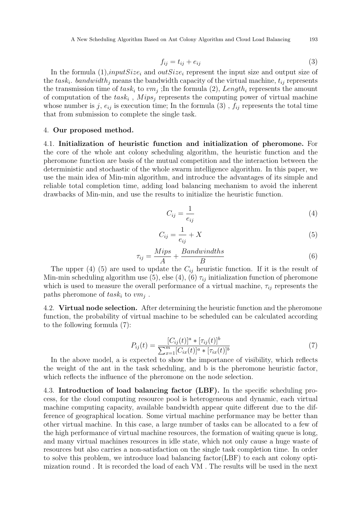A New Scheduling Algorithm Based on Ant Colony Algorithm and Cloud Load Balancing 193

$$
f_{ij} = t_{ij} + e_{ij} \tag{3}
$$

In the formula  $(1)$ , input  $Size_i$  and  $outSize_i$  represent the input size and output size of the  $task_i$ . bandwidth<sub>j</sub> means the bandwidth capacity of the virtual machine,  $t_{ij}$  represents the transmission time of  $task_i$  to  $vm_j$ ; In the formula (2), Length<sub>i</sub> represents the amount of computation of the  $task_i$ ,  $Mips_j$  represents the computing power of virtual machine whose number is j,  $e_{ij}$  is execution time; In the formula (3),  $f_{ij}$  represents the total time that from submission to complete the single task.

## 4. Our proposed method.

4.1. Initialization of heuristic function and initialization of pheromone. For the core of the whole ant colony scheduling algorithm, the heuristic function and the pheromone function are basis of the mutual competition and the interaction between the deterministic and stochastic of the whole swarm intelligence algorithm. In this paper, we use the main idea of Min-min algorithm, and introduce the advantages of its simple and reliable total completion time, adding load balancing mechanism to avoid the inherent drawbacks of Min-min, and use the results to initialize the heuristic function.

$$
C_{ij} = \frac{1}{e_{ij}}\tag{4}
$$

$$
C_{ij} = \frac{1}{e_{ij}} + X \tag{5}
$$

$$
\tau_{ij} = \frac{Mips}{A} + \frac{Bandwindths}{B} \tag{6}
$$

The upper (4) (5) are used to update the  $C_{ij}$  heuristic function. If it is the result of Min-min scheduling algorithm use (5), else (4), (6)  $\tau_{ij}$  initialization function of pheromone which is used to measure the overall performance of a virtual machine,  $\tau_{ij}$  represents the paths pheromone of  $task_i$  to  $vm_j$ .

4.2. Virtual node selection. After determining the heuristic function and the pheromone function, the probability of virtual machine to be scheduled can be calculated according to the following formula (7):

$$
P_{ij}(t) = \frac{[C_{ij}(t)]^a * [\tau_{ij}(t)]^b}{\sum_{x=1}^m [C_{ix}(t)]^a * [\tau_{ix}(t)]^b}
$$
(7)

In the above model, a is expected to show the importance of visibility, which reflects the weight of the ant in the task scheduling, and b is the pheromone heuristic factor, which reflects the influence of the pheromone on the node selection.

4.3. Introduction of load balancing factor (LBF). In the specific scheduling process, for the cloud computing resource pool is heterogeneous and dynamic, each virtual machine computing capacity, available bandwidth appear quite different due to the difference of geographical location. Some virtual machine performance may be better than other virtual machine. In this case, a large number of tasks can be allocated to a few of the high performance of virtual machine resources, the formation of waiting queue is long, and many virtual machines resources in idle state, which not only cause a huge waste of resources but also carries a non-satisfaction on the single task completion time. In order to solve this problem, we introduce load balancing factor(LBF) to each ant colony optimization round . It is recorded the load of each VM . The results will be used in the next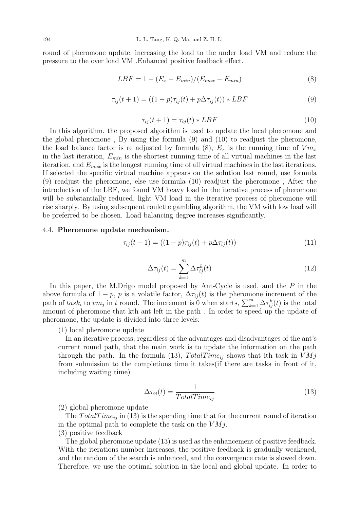round of pheromone update, increasing the load to the under load VM and reduce the pressure to the over load VM .Enhanced positive feedback effect.

$$
LBF = 1 - (E_x - E_{min})/(E_{max} - E_{min})
$$
\n(8)

$$
\tau_{ij}(t+1) = ((1-p)\tau_{ij}(t) + p\Delta\tau_{ij}(t)) * LBF
$$
\n(9)

$$
\tau_{ij}(t+1) = \tau_{ij}(t) * LBF \tag{10}
$$

In this algorithm, the proposed algorithm is used to update the local pheromone and the global pheromone , By using the formula (9) and (10) to readjust the pheromone, the load balance factor is readjusted by formula (8),  $E_x$  is the running time of  $Vm_x$ in the last iteration,  $E_{min}$  is the shortest running time of all virtual machines in the last iteration, and  $E_{max}$  is the longest running time of all virtual machines in the last iterations. If selected the specific virtual machine appears on the solution last round, use formula (9) readjust the pheromone, else use formula (10) readjust the pheromone , After the introduction of the LBF, we found VM heavy load in the iterative process of pheromone will be substantially reduced, light VM load in the iterative process of pheromone will rise sharply. By using subsequent roulette gambling algorithm, the VM with low load will be preferred to be chosen. Load balancing degree increases significantly.

#### 4.4. Pheromone update mechanism.

$$
\tau_{ij}(t+1) = ((1-p)\tau_{ij}(t) + p\Delta\tau_{ij}(t))
$$
\n(11)

$$
\Delta \tau_{ij}(t) = \sum_{k=1}^{m} \Delta \tau_{ij}^{k}(t)
$$
\n(12)

In this paper, the M.Drigo model proposed by Ant-Cycle is used, and the  $P$  in the above formula of  $1 - p$ , p is a volatile factor,  $\Delta \tau_{ij}(t)$  is the pheromone increment of the path of  $task_i$  to  $vm_j$  in t round. The increment is 0 when starts,  $\sum_{k=1}^{m} \Delta \tau_{ij}^k(t)$  is the total amount of pheromone that kth ant left in the path . In order to speed up the update of pheromone, the update is divided into three levels:

### (1) local pheromone update

In an iterative process, regardless of the advantages and disadvantages of the ant's current round path, that the main work is to update the information on the path through the path. In the formula (13),  $TotalTime_{ij}$  shows that ith task in  $VMj$ from submission to the completions time it takes(if there are tasks in front of it, including waiting time)

$$
\Delta \tau_{ij}(t) = \frac{1}{TotalTime_{ij}}\tag{13}
$$

(2) global pheromone update

The  $TotalTime_{ij}$  in (13) is the spending time that for the current round of iteration in the optimal path to complete the task on the  $VMj$ .

## (3) positive feedback

The global pheromone update (13) is used as the enhancement of positive feedback. With the iterations number increases, the positive feedback is gradually weakened, and the random of the search is enhanced, and the convergence rate is slowed down. Therefore, we use the optimal solution in the local and global update. In order to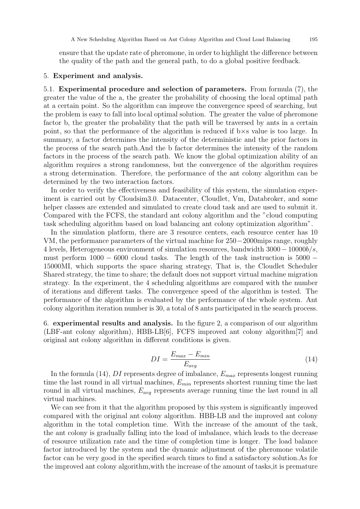ensure that the update rate of pheromone, in order to highlight the difference between the quality of the path and the general path, to do a global positive feedback.

### 5. Experiment and analysis.

5.1. Experimental procedure and selection of parameters. From formula (7), the greater the value of the a, the greater the probability of choosing the local optimal path at a certain point. So the algorithm can improve the convergence speed of searching, but the problem is easy to fall into local optimal solution. The greater the value of pheromone factor b, the greater the probability that the path will be traversed by ants in a certain point, so that the performance of the algorithm is reduced if b×s value is too large. In summary, a factor determines the intensity of the deterministic and the prior factors in the process of the search path.And the b factor determines the intensity of the random factors in the process of the search path. We know the global optimization ability of an algorithm requires a strong randomness, but the convergence of the algorithm requires a strong determination. Therefore, the performance of the ant colony algorithm can be determined by the two interaction factors.

In order to verify the effectiveness and feasibility of this system, the simulation experiment is carried out by Cloudsim3.0. Datacenter, Cloudlet, Vm, Databroker, and some helper classes are extended and simulated to create cloud task and are used to submit it. Compared with the FCFS, the standard ant colony algorithm and the "cloud computing task scheduling algorithm based on load balancing ant colony optimization algorithm".

In the simulation platform, there are 3 resource centers, each resource center has 10 VM, the performance parameters of the virtual machine for 250−2000mips range, roughly 4 levels, Heterogeneous environment of simulation resources, bandwidth  $3000 - 10000b/s$ , must perform  $1000 - 6000$  cloud tasks. The length of the task instruction is  $5000 -$ 15000MI, which supports the space sharing strategy, That is, the Cloudlet Scheduler Shared strategy, the time to share; the default does not support virtual machine migration strategy. In the experiment, the 4 scheduling algorithms are compared with the number of iterations and different tasks. The convergence speed of the algorithm is tested. The performance of the algorithm is evaluated by the performance of the whole system. Ant colony algorithm iteration number is 30, a total of 8 ants participated in the search process.

6. experimental results and analysis. In the figure 2, a comparison of our algorithm (LBF-ant colony algorithm), HBB-LB[6], FCFS improved ant colony algorithm[7] and original ant colony algorithm in different conditions is given.

$$
DI = \frac{E_{max} - E_{min}}{E_{avg}}\tag{14}
$$

In the formula (14), DI represents degree of imbalance,  $E_{max}$  represents longest running time the last round in all virtual machines,  $E_{min}$  represents shortest running time the last round in all virtual machines,  $E_{avg}$  represents average running time the last round in all virtual machines.

We can see from it that the algorithm proposed by this system is significantly improved compared with the original ant colony algorithm. HBB-LB and the improved ant colony algorithm in the total completion time. With the increase of the amount of the task, the ant colony is gradually falling into the load of imbalance, which leads to the decrease of resource utilization rate and the time of completion time is longer. The load balance factor introduced by the system and the dynamic adjustment of the pheromone volatile factor can be very good in the specified search times to find a satisfactory solution.As for the improved ant colony algorithm,with the increase of the amount of tasks,it is premature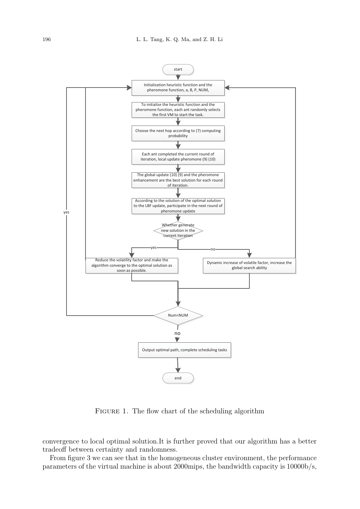

FIGURE 1. The flow chart of the scheduling algorithm

convergence to local optimal solution.It is further proved that our algorithm has a better tradeoff between certainty and randomness.

From figure 3 we can see that in the homogeneous cluster environment, the performance parameters of the virtual machine is about 2000mips, the bandwidth capacity is 10000b/s,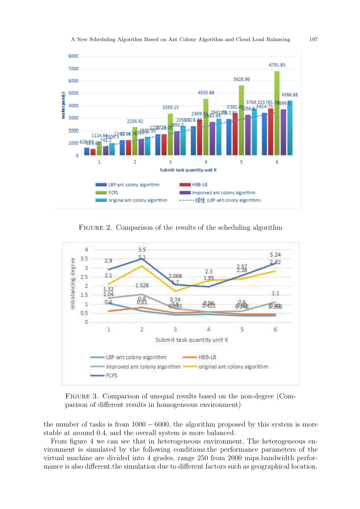

FIGURE 2. Comparison of the results of the scheduling algorithm



Figure 3. Comparison of unequal results based on the non-degree (Comparison of different results in homogeneous environment)

the number of tasks is from  $1000 - 6000$ , the algorithm proposed by this system is more stable at around 0.4, and the overall system is more balanced.

From figure 4 we can see that in heterogeneous environment, The heterogeneous environment is simulated by the following conditions:the performance parameters of the virtual machine are divided into 4 grades, range 250 from 2000 mips.bandwidth performance is also different.the simulation due to different factors such as geographical location.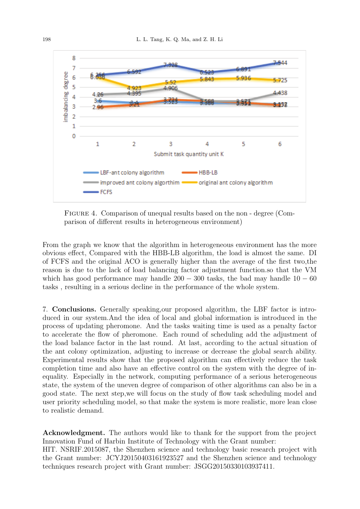

Figure 4. Comparison of unequal results based on the non - degree (Comparison of different results in heterogeneous environment)

From the graph we know that the algorithm in heterogeneous environment has the more obvious effect, Compared with the HBB-LB algorithm, the load is almost the same. DI of FCFS and the original ACO is generally higher than the average of the first two,the reason is due to the lack of load balancing factor adjustment function.so that the VM which has good performance may handle  $200 - 300$  tasks, the bad may handle  $10 - 60$ tasks , resulting in a serious decline in the performance of the whole system.

7. Conclusions. Generally speaking,our proposed algorithm, the LBF factor is introduced in our system.And the idea of local and global information is introduced in the process of updating pheromone. And the tasks waiting time is used as a penalty factor to accelerate the flow of pheromone. Each round of scheduling add the adjustment of the load balance factor in the last round. At last, according to the actual situation of the ant colony optimization, adjusting to increase or decrease the global search ability. Experimental results show that the proposed algorithm can effectively reduce the task completion time and also have an effective control on the system with the degree of inequality. Especially in the network, computing performance of a serious heterogeneous state, the system of the uneven degree of comparison of other algorithms can also be in a good state. The next step,we will focus on the study of flow task scheduling model and user priority scheduling model, so that make the system is more realistic, more lean close to realistic demand.

Acknowledgment. The authors would like to thank for the support from the project Innovation Fund of Harbin Institute of Technology with the Grant number:

HIT. NSRIF.2015087, the Shenzhen science and technology basic research project with the Grant number: JCYJ20150403161923527 and the Shenzhen science and technology techniques research project with Grant number: JSGG20150330103937411.